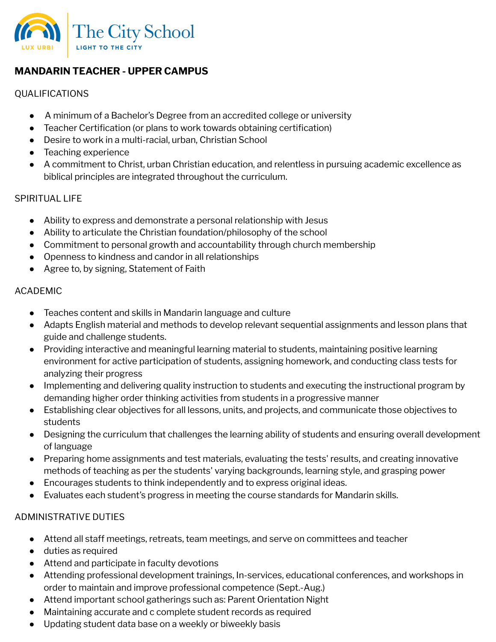

# **MANDARIN TEACHER - UPPER CAMPUS**

#### QUALIFICATIONS

- A minimum of a Bachelor's Degree from an accredited college or university
- Teacher Certification (or plans to work towards obtaining certification)
- Desire to work in a multi-racial, urban, Christian School
- Teaching experience
- A commitment to Christ, urban Christian education, and relentless in pursuing academic excellence as biblical principles are integrated throughout the curriculum.

### SPIRITUAL LIFE

- Ability to express and demonstrate a personal relationship with Jesus
- Ability to articulate the Christian foundation/philosophy of the school
- Commitment to personal growth and accountability through church membership
- Openness to kindness and candor in all relationships
- Agree to, by signing, Statement of Faith

### ACADEMIC

- Teaches content and skills in Mandarin language and culture
- Adapts English material and methods to develop relevant sequential assignments and lesson plans that guide and challenge students.
- Providing interactive and meaningful learning material to students, maintaining positive learning environment for active participation of students, assigning homework, and conducting class tests for analyzing their progress
- Implementing and delivering quality instruction to students and executing the instructional program by demanding higher order thinking activities from students in a progressive manner
- Establishing clear objectives for all lessons, units, and projects, and communicate those objectives to students
- Designing the curriculum that challenges the learning ability of students and ensuring overall development of language
- Preparing home assignments and test materials, evaluating the tests' results, and creating innovative methods of teaching as per the students' varying backgrounds, learning style, and grasping power
- Encourages students to think independently and to express original ideas.
- Evaluates each student's progress in meeting the course standards for Mandarin skills.

## ADMINISTRATIVE DUTIES

- Attend all staff meetings, retreats, team meetings, and serve on committees and teacher
- duties as required
- Attend and participate in faculty devotions
- Attending professional development trainings, In-services, educational conferences, and workshops in order to maintain and improve professional competence (Sept.-Aug.)
- Attend important school gatherings such as: Parent Orientation Night
- Maintaining accurate and c complete student records as required
- Updating student data base on a weekly or biweekly basis